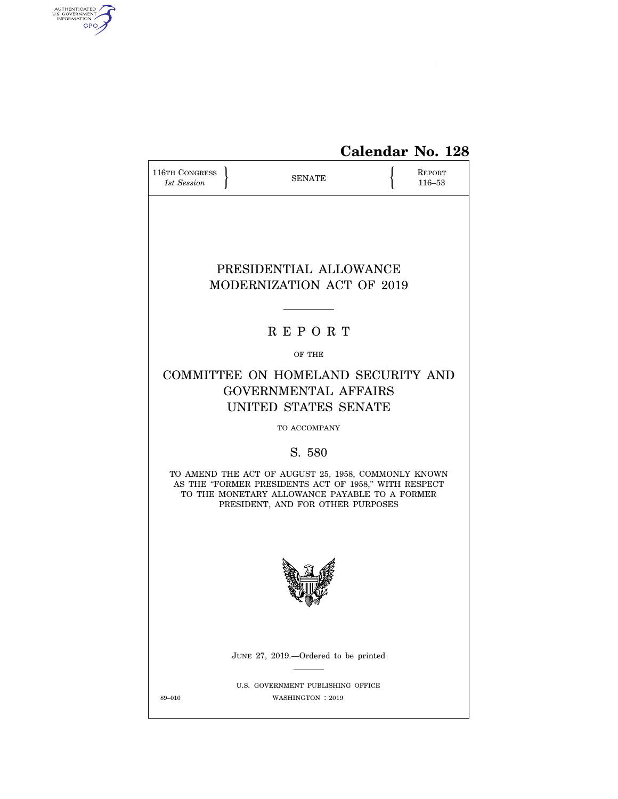

# **Calendar No. 128**

| <b>116TH CONGRESS</b><br>1st Session | <b>SENATE</b>                                                                                                                                                                                     | REPORT<br>116-53 |
|--------------------------------------|---------------------------------------------------------------------------------------------------------------------------------------------------------------------------------------------------|------------------|
|                                      |                                                                                                                                                                                                   |                  |
|                                      | PRESIDENTIAL ALLOWANCE<br>MODERNIZATION ACT OF 2019                                                                                                                                               |                  |
|                                      | <b>REPORT</b>                                                                                                                                                                                     |                  |
|                                      | OF THE                                                                                                                                                                                            |                  |
|                                      | COMMITTEE ON HOMELAND SECURITY AND<br><b>GOVERNMENTAL AFFAIRS</b><br>UNITED STATES SENATE                                                                                                         |                  |
|                                      | TO ACCOMPANY                                                                                                                                                                                      |                  |
|                                      | S. 580                                                                                                                                                                                            |                  |
|                                      | TO AMEND THE ACT OF AUGUST 25, 1958, COMMONLY KNOWN<br>AS THE "FORMER PRESIDENTS ACT OF 1958," WITH RESPECT<br>TO THE MONETARY ALLOWANCE PAYABLE TO A FORMER<br>PRESIDENT, AND FOR OTHER PURPOSES |                  |
|                                      |                                                                                                                                                                                                   |                  |
|                                      | JUNE 27, 2019.—Ordered to be printed                                                                                                                                                              |                  |
| 89-010                               | U.S. GOVERNMENT PUBLISHING OFFICE<br>WASHINGTON : 2019                                                                                                                                            |                  |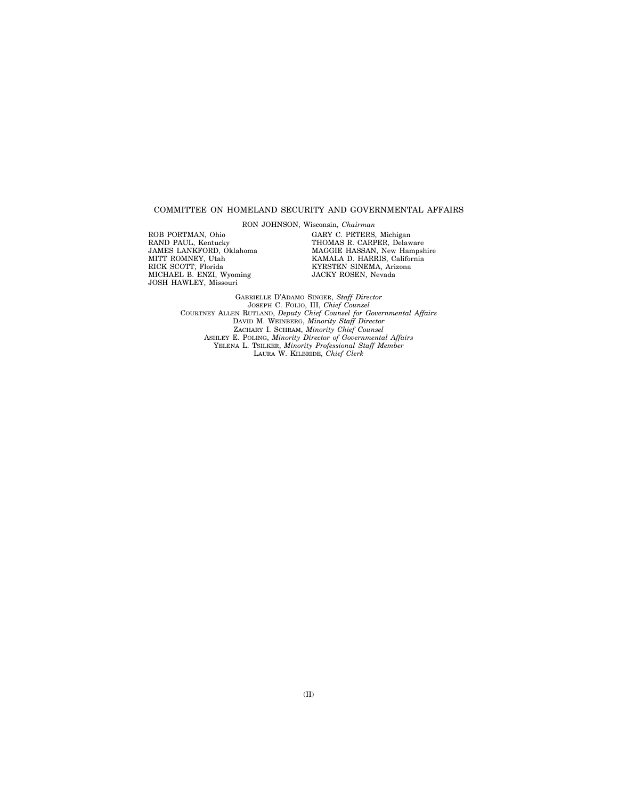#### COMMITTEE ON HOMELAND SECURITY AND GOVERNMENTAL AFFAIRS

RON JOHNSON, Wisconsin, *Chairman* 

ROB PORTMAN, Ohio RAND PAUL, Kentucky JAMES LANKFORD, Oklahoma MITT ROMNEY, Utah RICK SCOTT, Florida MICHAEL B. ENZI, Wyoming JOSH HAWLEY, Missouri

GARY C. PETERS, Michigan THOMAS R. CARPER, Delaware MAGGIE HASSAN, New Hampshire KAMALA D. HARRIS, California KYRSTEN SINEMA, Arizona JACKY ROSEN, Nevada

GABRIELLE D'ADAMO SINGER, *Staff Director*  JOSEPH C. FOLIO, III, *Chief Counsel*  COURTNEY ALLEN RUTLAND, *Deputy Chief Counsel for Governmental Affairs*  DAVID M. WEINBERG, *Minority Staff Director*  ZACHARY I. SCHRAM, *Minority Chief Counsel*  ASHLEY E. POLING, *Minority Director of Governmental Affairs*  YELENA L. TSILKER, *Minority Professional Staff Member*  LAURA W. KILBRIDE, *Chief Clerk*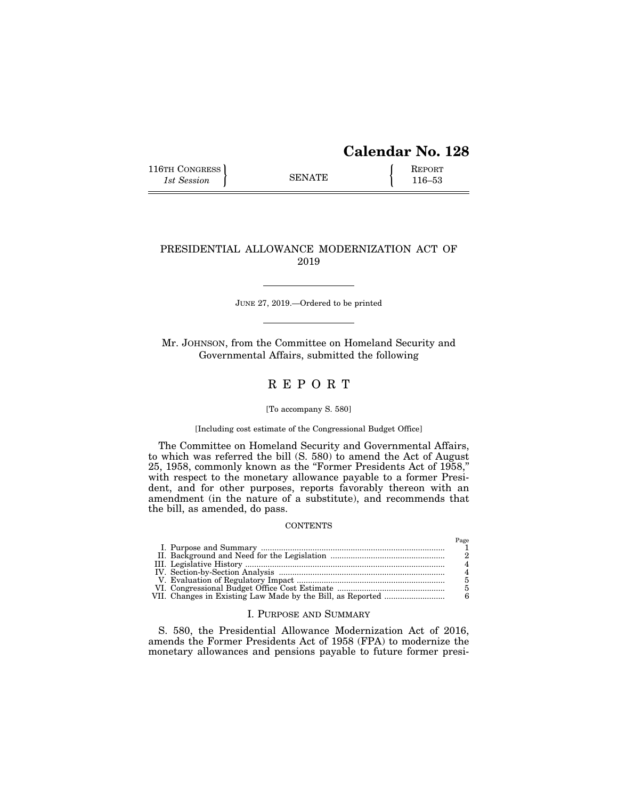# **Calendar No. 128**

 $P<sub>200</sub>$ 

116TH CONGRESS **REPORT** 116-53

## PRESIDENTIAL ALLOWANCE MODERNIZATION ACT OF 2019

JUNE 27, 2019.—Ordered to be printed

Mr. JOHNSON, from the Committee on Homeland Security and Governmental Affairs, submitted the following

# R E P O R T

#### [To accompany S. 580]

#### [Including cost estimate of the Congressional Budget Office]

The Committee on Homeland Security and Governmental Affairs, to which was referred the bill (S. 580) to amend the Act of August 25, 1958, commonly known as the ''Former Presidents Act of 1958,'' with respect to the monetary allowance payable to a former President, and for other purposes, reports favorably thereon with an amendment (in the nature of a substitute), and recommends that the bill, as amended, do pass.

### **CONTENTS**

|  | 1 agu |
|--|-------|
|  |       |
|  |       |
|  |       |
|  |       |
|  |       |
|  |       |
|  |       |

### I. PURPOSE AND SUMMARY

S. 580, the Presidential Allowance Modernization Act of 2016, amends the Former Presidents Act of 1958 (FPA) to modernize the monetary allowances and pensions payable to future former presi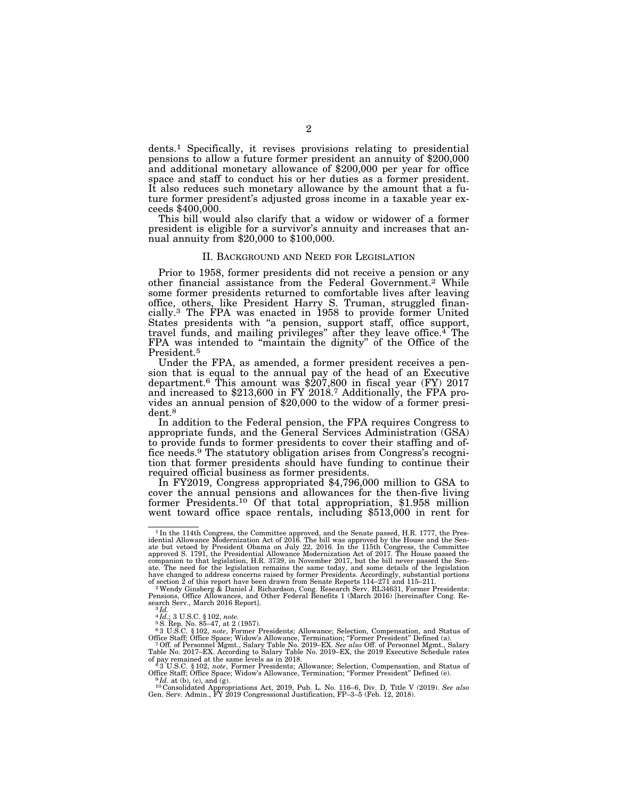dents.1 Specifically, it revises provisions relating to presidential pensions to allow a future former president an annuity of \$200,000 and additional monetary allowance of \$200,000 per year for office space and staff to conduct his or her duties as a former president. It also reduces such monetary allowance by the amount that a future former president's adjusted gross income in a taxable year exceeds \$400,000.

This bill would also clarify that a widow or widower of a former president is eligible for a survivor's annuity and increases that annual annuity from \$20,000 to \$100,000.

#### II. BACKGROUND AND NEED FOR LEGISLATION

Prior to 1958, former presidents did not receive a pension or any other financial assistance from the Federal Government.2 While some former presidents returned to comfortable lives after leaving office, others, like President Harry S. Truman, struggled financially.3 The FPA was enacted in 1958 to provide former United States presidents with ''a pension, support staff, office support, travel funds, and mailing privileges" after they leave office.<sup>4</sup> The FPA was intended to "maintain the dignity" of the Office of the President.5

Under the FPA, as amended, a former president receives a pension that is equal to the annual pay of the head of an Executive department.<sup>6</sup> This amount was \$207,800 in fiscal year (FY) 2017 and increased to \$213,600 in FY 2018.<sup>7</sup> Additionally, the FPA pro-<br>vides an annual pension of \$20,000 to the widow of a former presivides an annual pension of \$20,000 to the widow of a former president.<sup>8</sup>

In addition to the Federal pension, the FPA requires Congress to appropriate funds, and the General Services Administration (GSA) to provide funds to former presidents to cover their staffing and office needs.9 The statutory obligation arises from Congress's recognition that former presidents should have funding to continue their

In FY2019, Congress appropriated \$4,796,000 million to GSA to cover the annual pensions and allowances for the then-five living former Presidents.<sup>10</sup> Of that total appropriation, \$1.958 million went toward office space rentals, including  $$513,000$  in rent for

<sup>&</sup>lt;sup>1</sup> In the 114th Congress, the Committee approved, and the Senate passed, H.R. 1777, the Presidential Allowance Modernization Act of 2016. The bill was approved by the House and the Senate but vetoed by President Obama on companion to that legislation, H.R. 3739, in November 2017, but the bill never passed the Senate. The need for the legislation remains the same today, and some details of the legislation have changed to address concerns r

Pensions, Office Allowances, and Other Federal Benefits 1 (March 2016) [hereinafter Cong. Re-search Serv., March 2016 Report]. 3 *Id.* 

<sup>4</sup>*Id.*; 3 U.S.C. § 102, *note.*<br><sup>5</sup> S. Rep. No. 85–47, at 2 (1957).<br><sup>6</sup> 3 U.S.C. § 102, *note*, Former Presidents; Allowance; Selection, Compensation, and Status of

Office Staff; Office Space; Widow's Allowance, Termination; "Former President" Defined (a).<br>7 Off. of Personnel Mgmt., Salary Table No. 2019–EX. *See also* Off. of Personnel Mgmt., Salary<br>Table No. 2017–EX. According to Sa

of pay remained at the same levels as in 2018.<br><sup>8</sup>3 U.S.C. § 102, *note*, Former Presidents; Allowance; Selection, Compensation, and Status of Office Staff; Office Space; Widow's Allowance, Termination; "Former President"

Office Staff; Office Space; Widow's Allowance, Termination; "Former President" Defined (e).<br><sup>9</sup>Id. at (b), (c), and (g).<br><sup>10</sup> Consolidated Appropriations Act, 2019, Pub. L. No. 116–6, Div. D, Title V (2019). *See also*<br>Gen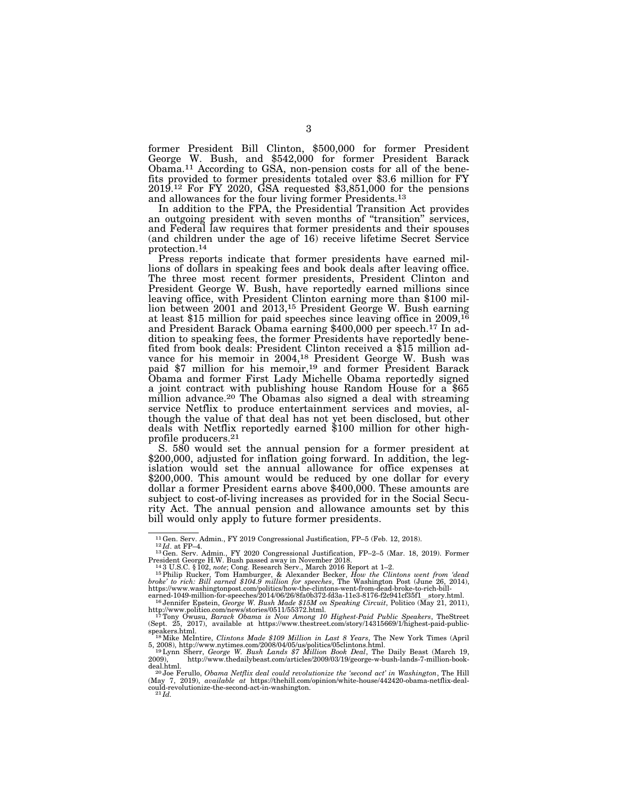former President Bill Clinton, \$500,000 for former President George W. Bush, and \$542,000 for former President Barack Obama.11 According to GSA, non-pension costs for all of the bene- fits provided to former presidents totaled over \$3.6 million for FY 2019.12 For FY 2020, GSA requested \$3,851,000 for the pensions and allowances for the four living former Presidents.13

In addition to the FPA, the Presidential Transition Act provides an outgoing president with seven months of ''transition'' services, and Federal law requires that former presidents and their spouses (and children under the age of 16) receive lifetime Secret Service protection.14

Press reports indicate that former presidents have earned millions of dollars in speaking fees and book deals after leaving office. The three most recent former presidents, President Clinton and President George W. Bush, have reportedly earned millions since leaving office, with President Clinton earning more than \$100 million between 2001 and 2013,<sup>15</sup> President George W. Bush earning lion between 2001 and 2013,<sup>15</sup> President George W. Bush earning<br>at least \$15 million for paid speeches since leaving office in 2009,<sup>16</sup> and President Barack Obama earning \$400,000 per speech.17 In addition to speaking fees, the former Presidents have reportedly benefited from book deals: President Clinton received a \$15 million advance for his memoir in 2004,<sup>18</sup> President George W. Bush was vance for his memoir in 2004,18 President George W. Bush was paid \$7 million for his memoir,19 and former President Barack Obama and former First Lady Michelle Obama reportedly signed a joint contract with publishing house Random House for a \$65 million advance.<sup>20</sup> The Obamas also signed a deal with streaming service Netflix to produce entertainment services and movies, although the value of that deal has not yet been disclosed, but other deals with Netflix reportedly earned \$100 million for other highprofile producers.21

S. 580 would set the annual pension for a former president at \$200,000, adjusted for inflation going forward. In addition, the legislation would set the annual allowance for office expenses at \$200,000. This amount would be reduced by one dollar for every dollar a former President earns above \$400,000. These amounts are subject to cost-of-living increases as provided for in the Social Security Act. The annual pension and allowance amounts set by this bill would only apply to future former presidents.

<sup>&</sup>lt;sup>11</sup>Gen. Serv. Admin., FY 2019 Congressional Justification, FP–5 (Feb. 12, 2018). 1<sup>22</sup>*Id.* at FP–4.<br><sup>12</sup>Gen. Serv. Admin., FY 2020 Congressional Justification, FP–2–5 (Mar. 18, 2019). Former<br>President George H.W. Bush p

President George H.W. Bush passed away in November 2018.<br><sup>14</sup>3 U.S.C. § 102, *note*; Cong. Research Serv., March 2016 Report at 1–2.<br><sup>15</sup> Philip Rucker, Tom Hamburger, & Alexander Becker, *How the Clintons went from 'dead* 

earned-1049-million-for-speeches/2014/06/26/8fa0b372-fd3a-11e3-8176-f2c941cf35f1\_story.html.<br><sup>16</sup> Jennifer Epstein, *George W. Bush Made \$15M on Speaking Circuit*, Politico (May 21, 2011),

http://www.politico.com/news/stories/0511/55372.html.<br><sup>17</sup>Tony Owusu, *Barack Obama is Now Among 10 Highest-Paid Public Speakers*, TheStreet<br>(Sept. 25, 2017), available at https://www.thestreet.com/story/14315669/1/highest

<sup>5, 2008),</sup> http://www.nytimes.com/2008/04/05/us/politics/05clintons.html. 19Lynn Sherr, *George W. Bush Lands \$7 Million Book Deal*, The Daily Beast (March 19,

<sup>2009),</sup> http://www.thedailybeast.com/articles/2009/03/19/george-w-bush-lands-7-million-book-

<sup>&</sup>lt;sup>20</sup> Joe Ferullo, *Obama Netflix deal could revolutionize the 'second act' in Washington*, The Hill (May 7, 2019), *available at* https://thehill.com/opinion/white-house/442420-obama-netflix-deal-<br>could-revolutionize-the-second-act-in-washington.<br><sup>21</sup>*Id.*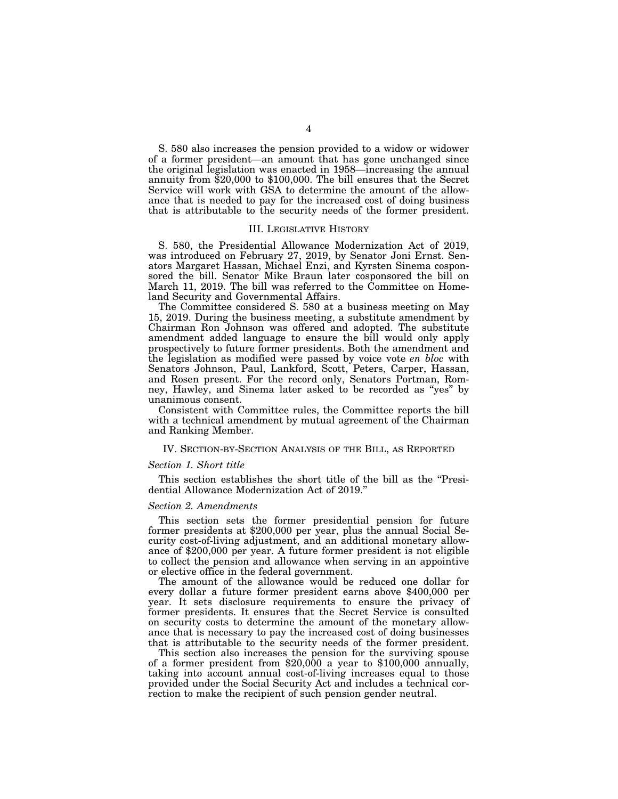S. 580 also increases the pension provided to a widow or widower of a former president—an amount that has gone unchanged since the original legislation was enacted in 1958—increasing the annual annuity from \$20,000 to \$100,000. The bill ensures that the Secret Service will work with GSA to determine the amount of the allowance that is needed to pay for the increased cost of doing business that is attributable to the security needs of the former president.

#### III. LEGISLATIVE HISTORY

S. 580, the Presidential Allowance Modernization Act of 2019, was introduced on February 27, 2019, by Senator Joni Ernst. Senators Margaret Hassan, Michael Enzi, and Kyrsten Sinema cosponsored the bill. Senator Mike Braun later cosponsored the bill on March 11, 2019. The bill was referred to the Committee on Homeland Security and Governmental Affairs.

The Committee considered S. 580 at a business meeting on May 15, 2019. During the business meeting, a substitute amendment by Chairman Ron Johnson was offered and adopted. The substitute amendment added language to ensure the bill would only apply prospectively to future former presidents. Both the amendment and the legislation as modified were passed by voice vote *en bloc* with Senators Johnson, Paul, Lankford, Scott, Peters, Carper, Hassan, and Rosen present. For the record only, Senators Portman, Romney, Hawley, and Sinema later asked to be recorded as ''yes'' by unanimous consent.

Consistent with Committee rules, the Committee reports the bill with a technical amendment by mutual agreement of the Chairman and Ranking Member.

### IV. SECTION-BY-SECTION ANALYSIS OF THE BILL, AS REPORTED

#### *Section 1. Short title*

This section establishes the short title of the bill as the ''Presidential Allowance Modernization Act of 2019.''

#### *Section 2. Amendments*

This section sets the former presidential pension for future former presidents at \$200,000 per year, plus the annual Social Security cost-of-living adjustment, and an additional monetary allowance of \$200,000 per year. A future former president is not eligible to collect the pension and allowance when serving in an appointive or elective office in the federal government.

The amount of the allowance would be reduced one dollar for every dollar a future former president earns above \$400,000 per year. It sets disclosure requirements to ensure the privacy of former presidents. It ensures that the Secret Service is consulted on security costs to determine the amount of the monetary allowance that is necessary to pay the increased cost of doing businesses that is attributable to the security needs of the former president.

This section also increases the pension for the surviving spouse of a former president from \$20,000 a year to \$100,000 annually, taking into account annual cost-of-living increases equal to those provided under the Social Security Act and includes a technical correction to make the recipient of such pension gender neutral.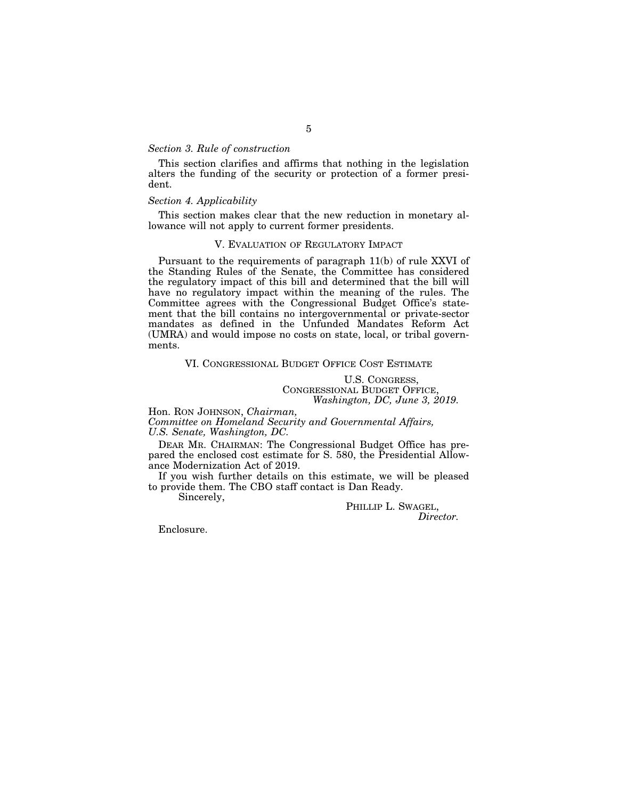### *Section 3. Rule of construction*

This section clarifies and affirms that nothing in the legislation alters the funding of the security or protection of a former president.

#### *Section 4. Applicability*

This section makes clear that the new reduction in monetary allowance will not apply to current former presidents.

### V. EVALUATION OF REGULATORY IMPACT

Pursuant to the requirements of paragraph 11(b) of rule XXVI of the Standing Rules of the Senate, the Committee has considered the regulatory impact of this bill and determined that the bill will have no regulatory impact within the meaning of the rules. The Committee agrees with the Congressional Budget Office's statement that the bill contains no intergovernmental or private-sector mandates as defined in the Unfunded Mandates Reform Act (UMRA) and would impose no costs on state, local, or tribal governments.

### VI. CONGRESSIONAL BUDGET OFFICE COST ESTIMATE

U.S. CONGRESS, CONGRESSIONAL BUDGET OFFICE, *Washington, DC, June 3, 2019.* 

Hon. RON JOHNSON, *Chairman,* 

*Committee on Homeland Security and Governmental Affairs, U.S. Senate, Washington, DC.* 

DEAR MR. CHAIRMAN: The Congressional Budget Office has prepared the enclosed cost estimate for S. 580, the Presidential Allowance Modernization Act of 2019.

If you wish further details on this estimate, we will be pleased to provide them. The CBO staff contact is Dan Ready.

Sincerely,

PHILLIP L. SWAGEL, *Director.* 

Enclosure.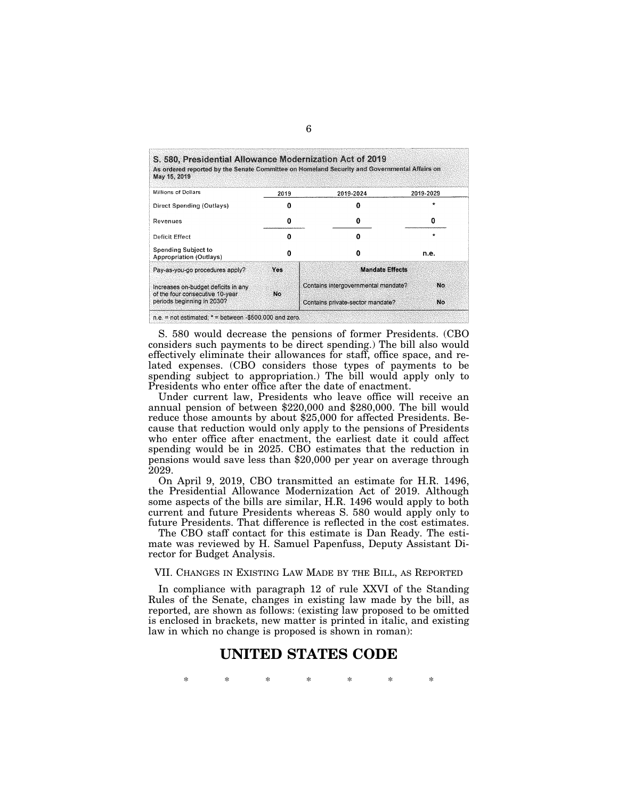| May 15, 2019                                                           |      | As ordered reported by the Senate Committee on Homeland Security and Governmental Affairs on |           |
|------------------------------------------------------------------------|------|----------------------------------------------------------------------------------------------|-----------|
| <b>Millions of Dollars</b>                                             | 2019 | 2019-2024                                                                                    | 2019-2029 |
| Direct Spending (Outlays)                                              |      |                                                                                              | $\star$   |
| Revenues                                                               | o    | o                                                                                            | 0         |
| Deficit Effect                                                         | n    | Ω                                                                                            |           |
| <b>Spending Subject to</b><br><b>Appropriation (Outlays)</b>           |      | Ω                                                                                            | n.e.      |
| Pay-as-you-go procedures apply?                                        | Yes  | <b>Mandate Effects</b>                                                                       |           |
| Increases on-budget deficits in any<br>of the four consecutive 10-year | No.  | Contains intergovernmental mandate?                                                          | No        |
| periods beginning in 2030?                                             |      | Contains private-sector mandate?                                                             | No.       |

S. 580 would decrease the pensions of former Presidents. (CBO considers such payments to be direct spending.) The bill also would effectively eliminate their allowances for staff, office space, and related expenses. (CBO considers those types of payments to be spending subject to appropriation.) The bill would apply only to Presidents who enter office after the date of enactment.

Under current law, Presidents who leave office will receive an annual pension of between \$220,000 and \$280,000. The bill would reduce those amounts by about \$25,000 for affected Presidents. Because that reduction would only apply to the pensions of Presidents who enter office after enactment, the earliest date it could affect spending would be in 2025. CBO estimates that the reduction in pensions would save less than \$20,000 per year on average through 2029.

On April 9, 2019, CBO transmitted an estimate for H.R. 1496, the Presidential Allowance Modernization Act of 2019. Although some aspects of the bills are similar, H.R. 1496 would apply to both current and future Presidents whereas S. 580 would apply only to future Presidents. That difference is reflected in the cost estimates.

The CBO staff contact for this estimate is Dan Ready. The estimate was reviewed by H. Samuel Papenfuss, Deputy Assistant Director for Budget Analysis.

### VII. CHANGES IN EXISTING LAW MADE BY THE BILL, AS REPORTED

In compliance with paragraph 12 of rule XXVI of the Standing Rules of the Senate, changes in existing law made by the bill, as reported, are shown as follows: (existing law proposed to be omitted is enclosed in brackets, new matter is printed in italic, and existing law in which no change is proposed is shown in roman):

# **UNITED STATES CODE**

\* \* \* \* \* \* \*

### 6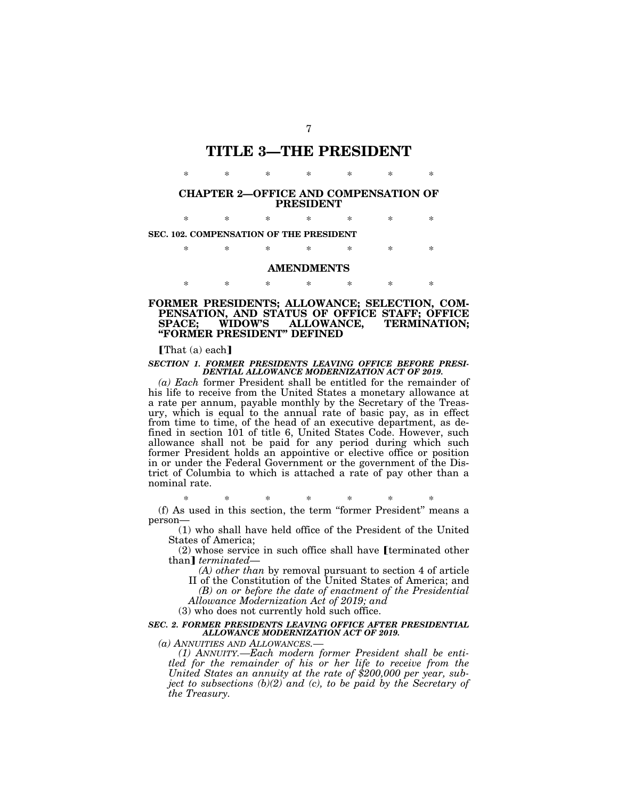# **TITLE 3—THE PRESIDENT**

### **CHAPTER 2—OFFICE AND COMPENSATION OF PRESIDENT**

\* \* \* \* \* \* \*

\* \* \* \* \* \* \*

**SEC. 102. COMPENSATION OF THE PRESIDENT** 

\* \* \* \* \* \* \*

# **AMENDMENTS**  \* \* \* \* \* \* \*

### **FORMER PRESIDENTS; ALLOWANCE; SELECTION, COM-PENSATION, AND STATUS OF OFFICE STAFF; OFFICE**  TERMINATION; **''FORMER PRESIDENT'' DEFINED**

 $\lceil \text{That}(\text{a}) \text{ each } \rceil$ 

#### *SECTION 1. FORMER PRESIDENTS LEAVING OFFICE BEFORE PRESI-DENTIAL ALLOWANCE MODERNIZATION ACT OF 2019.*

*(a) Each* former President shall be entitled for the remainder of his life to receive from the United States a monetary allowance at a rate per annum, payable monthly by the Secretary of the Treasury, which is equal to the annual rate of basic pay, as in effect from time to time, of the head of an executive department, as defined in section 101 of title 6, United States Code. However, such allowance shall not be paid for any period during which such former President holds an appointive or elective office or position in or under the Federal Government or the government of the District of Columbia to which is attached a rate of pay other than a nominal rate.

\* \* \* \* \* \* \* (f) As used in this section, the term ''former President'' means a

person—

(1) who shall have held office of the President of the United States of America;

(2) whose service in such office shall have [terminated other than]  $terminal$ than<sup> *terminated— (A) other than* by removal pursuant to section 4 of article</sup>

II of the Constitution of the United States of America; and *(B) on or before the date of enactment of the Presidential* 

*Allowance Modernization Act of 2019; and* 

(3) who does not currently hold such office.

#### *SEC. 2. FORMER PRESIDENTS LEAVING OFFICE AFTER PRESIDENTIAL ALLOWANCE MODERNIZATION ACT OF 2019.*

*(a) ANNUITIES AND ALLOWANCES.—* 

*(1) ANNUITY.—Each modern former President shall be entitled for the remainder of his or her life to receive from the United States an annuity at the rate of \$200,000 per year, subject to subsections (b)(2) and (c), to be paid by the Secretary of the Treasury.*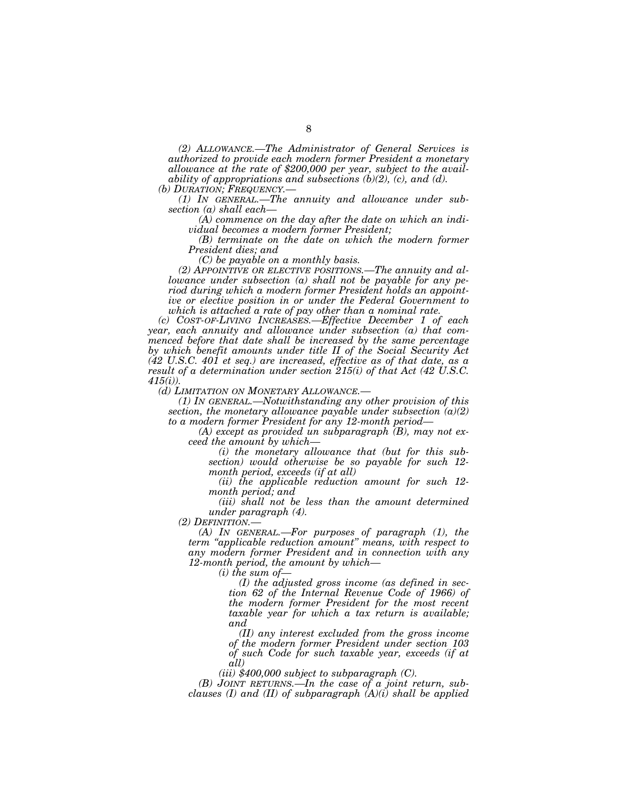*(2) ALLOWANCE.—The Administrator of General Services is authorized to provide each modern former President a monetary allowance at the rate of \$200,000 per year, subject to the availability of appropriations and subsections (b)(2), (c), and (d).* (b) DURATION; FREQUENCY.—

*(1) In GENERAL.—The annuity and allowance under subsection (a) shall each—* 

*(A) commence on the day after the date on which an individual becomes a modern former President;* 

*(B) terminate on the date on which the modern former President dies; and* 

*(C) be payable on a monthly basis.* 

*(2) APPOINTIVE OR ELECTIVE POSITIONS.—The annuity and allowance under subsection (a) shall not be payable for any period during which a modern former President holds an appointive or elective position in or under the Federal Government to which is attached a rate of pay other than a nominal rate.* 

*(c) COST-OF-LIVING INCREASES.—Effective December 1 of each year, each annuity and allowance under subsection (a) that commenced before that date shall be increased by the same percentage by which benefit amounts under title II of the Social Security Act (42 U.S.C. 401 et seq.) are increased, effective as of that date, as a result of a determination under section 215(i) of that Act (42 U.S.C. 415(i)).* 

*(d) LIMITATION ON MONETARY ALLOWANCE.— (1) IN GENERAL.—Notwithstanding any other provision of this section, the monetary allowance payable under subsection (a)(2) to a modern former President for any 12-month period—* 

*(A) except as provided un subparagraph (B), may not exceed the amount by which—* 

*(i) the monetary allowance that (but for this subsection) would otherwise be so payable for such 12 month period, exceeds (if at all)* 

*(ii) the applicable reduction amount for such 12 month period; and* 

*(iii) shall not be less than the amount determined under paragraph (4).* 

*(2) DEFINITION.— (A) IN GENERAL.—For purposes of paragraph (1), the term ''applicable reduction amount'' means, with respect to any modern former President and in connection with any 12-month period, the amount by which—* 

*(i) the sum of—* 

*(I) the adjusted gross income (as defined in section 62 of the Internal Revenue Code of 1966) of the modern former President for the most recent taxable year for which a tax return is available; and* 

*(II) any interest excluded from the gross income of the modern former President under section 103 of such Code for such taxable year, exceeds (if at all)* 

*(iii) \$400,000 subject to subparagraph (C).* 

*(B) JOINT RETURNS.—In the case of a joint return, subclauses (I) and (II) of subparagraph (A)(i) shall be applied*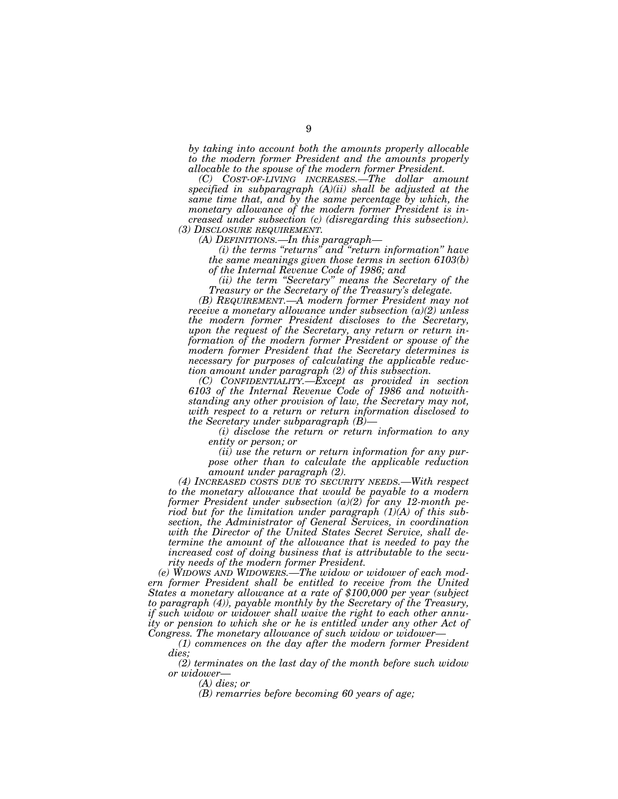*by taking into account both the amounts properly allocable to the modern former President and the amounts properly allocable to the spouse of the modern former President.* 

*(C) COST-OF-LIVING INCREASES.—The dollar amount specified in subparagraph (A)(ii) shall be adjusted at the same time that, and by the same percentage by which, the monetary allowance of the modern former President is increased under subsection (c) (disregarding this subsection).* 

*(3) DISCLOSURE REQUIREMENT. (A) DEFINITIONS.—In this paragraph—* 

*(i) the terms ''returns'' and ''return information'' have the same meanings given those terms in section 6103(b) of the Internal Revenue Code of 1986; and* 

*(ii) the term ''Secretary'' means the Secretary of the Treasury or the Secretary of the Treasury's delegate.* 

*(B) REQUIREMENT.—A modern former President may not receive a monetary allowance under subsection (a)(2) unless the modern former President discloses to the Secretary, upon the request of the Secretary, any return or return information of the modern former President or spouse of the modern former President that the Secretary determines is necessary for purposes of calculating the applicable reduction amount under paragraph (2) of this subsection.* 

*(C) CONFIDENTIALITY.—Except as provided in section 6103 of the Internal Revenue Code of 1986 and notwithstanding any other provision of law, the Secretary may not, with respect to a return or return information disclosed to the Secretary under subparagraph (B)—* 

*(i) disclose the return or return information to any entity or person; or* 

*(ii) use the return or return information for any purpose other than to calculate the applicable reduction amount under paragraph (2).* 

*(4) INCREASED COSTS DUE TO SECURITY NEEDS.—With respect to the monetary allowance that would be payable to a modern former President under subsection (a)(2) for any 12-month period but for the limitation under paragraph (1)(A) of this subsection, the Administrator of General Services, in coordination with the Director of the United States Secret Service, shall determine the amount of the allowance that is needed to pay the increased cost of doing business that is attributable to the security needs of the modern former President.* 

*(e) WIDOWS AND WIDOWERS.—The widow or widower of each modern former President shall be entitled to receive from the United States a monetary allowance at a rate of \$100,000 per year (subject to paragraph (4)), payable monthly by the Secretary of the Treasury, if such widow or widower shall waive the right to each other annuity or pension to which she or he is entitled under any other Act of Congress. The monetary allowance of such widow or widower—* 

*(1) commences on the day after the modern former President dies;* 

*(2) terminates on the last day of the month before such widow or widower—* 

*(A) dies; or* 

*(B) remarries before becoming 60 years of age;*